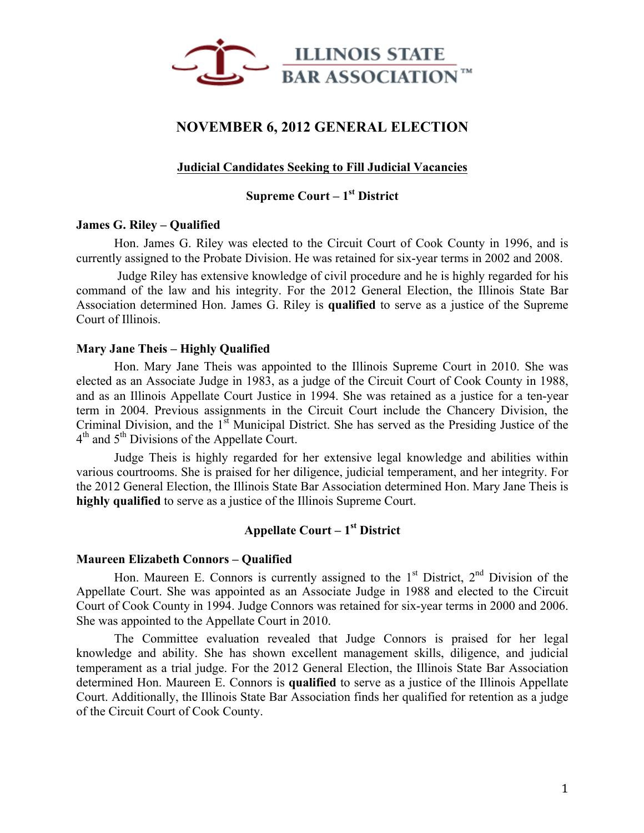

# **NOVEMBER 6, 2012 GENERAL ELECTION**

# **Judicial Candidates Seeking to Fill Judicial Vacancies**

# **Supreme Court – 1st District**

# **James G. Riley – Qualified**

Hon. James G. Riley was elected to the Circuit Court of Cook County in 1996, and is currently assigned to the Probate Division. He was retained for six-year terms in 2002 and 2008.

Judge Riley has extensive knowledge of civil procedure and he is highly regarded for his command of the law and his integrity. For the 2012 General Election, the Illinois State Bar Association determined Hon. James G. Riley is **qualified** to serve as a justice of the Supreme Court of Illinois.

# **Mary Jane Theis – Highly Qualified**

Hon. Mary Jane Theis was appointed to the Illinois Supreme Court in 2010. She was elected as an Associate Judge in 1983, as a judge of the Circuit Court of Cook County in 1988, and as an Illinois Appellate Court Justice in 1994. She was retained as a justice for a ten-year term in 2004. Previous assignments in the Circuit Court include the Chancery Division, the Criminal Division, and the  $1<sup>st</sup>$  Municipal District. She has served as the Presiding Justice of the 4<sup>th</sup> and 5<sup>th</sup> Divisions of the Appellate Court.

Judge Theis is highly regarded for her extensive legal knowledge and abilities within various courtrooms. She is praised for her diligence, judicial temperament, and her integrity. For the 2012 General Election, the Illinois State Bar Association determined Hon. Mary Jane Theis is **highly qualified** to serve as a justice of the Illinois Supreme Court.

# **Appellate Court – 1st District**

### **Maureen Elizabeth Connors – Qualified**

Hon. Maureen E. Connors is currently assigned to the  $1<sup>st</sup>$  District,  $2<sup>nd</sup>$  Division of the Appellate Court. She was appointed as an Associate Judge in 1988 and elected to the Circuit Court of Cook County in 1994. Judge Connors was retained for six-year terms in 2000 and 2006. She was appointed to the Appellate Court in 2010.

The Committee evaluation revealed that Judge Connors is praised for her legal knowledge and ability. She has shown excellent management skills, diligence, and judicial temperament as a trial judge. For the 2012 General Election, the Illinois State Bar Association determined Hon. Maureen E. Connors is **qualified** to serve as a justice of the Illinois Appellate Court. Additionally, the Illinois State Bar Association finds her qualified for retention as a judge of the Circuit Court of Cook County.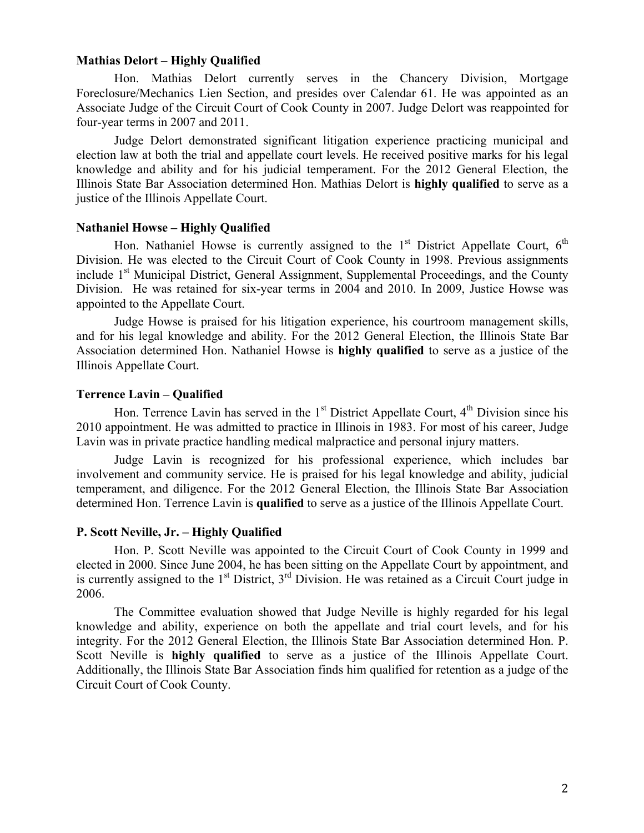# **Mathias Delort – Highly Qualified**

Hon. Mathias Delort currently serves in the Chancery Division, Mortgage Foreclosure/Mechanics Lien Section, and presides over Calendar 61. He was appointed as an Associate Judge of the Circuit Court of Cook County in 2007. Judge Delort was reappointed for four-year terms in 2007 and 2011.

Judge Delort demonstrated significant litigation experience practicing municipal and election law at both the trial and appellate court levels. He received positive marks for his legal knowledge and ability and for his judicial temperament. For the 2012 General Election, the Illinois State Bar Association determined Hon. Mathias Delort is **highly qualified** to serve as a justice of the Illinois Appellate Court.

#### **Nathaniel Howse – Highly Qualified**

Hon. Nathaniel Howse is currently assigned to the  $1<sup>st</sup>$  District Appellate Court,  $6<sup>th</sup>$ Division. He was elected to the Circuit Court of Cook County in 1998. Previous assignments include 1<sup>st</sup> Municipal District, General Assignment, Supplemental Proceedings, and the County Division. He was retained for six-year terms in 2004 and 2010. In 2009, Justice Howse was appointed to the Appellate Court.

Judge Howse is praised for his litigation experience, his courtroom management skills, and for his legal knowledge and ability. For the 2012 General Election, the Illinois State Bar Association determined Hon. Nathaniel Howse is **highly qualified** to serve as a justice of the Illinois Appellate Court.

#### **Terrence Lavin – Qualified**

Hon. Terrence Lavin has served in the  $1<sup>st</sup>$  District Appellate Court,  $4<sup>th</sup>$  Division since his 2010 appointment. He was admitted to practice in Illinois in 1983. For most of his career, Judge Lavin was in private practice handling medical malpractice and personal injury matters.

Judge Lavin is recognized for his professional experience, which includes bar involvement and community service. He is praised for his legal knowledge and ability, judicial temperament, and diligence. For the 2012 General Election, the Illinois State Bar Association determined Hon. Terrence Lavin is **qualified** to serve as a justice of the Illinois Appellate Court.

# **P. Scott Neville, Jr. – Highly Qualified**

Hon. P. Scott Neville was appointed to the Circuit Court of Cook County in 1999 and elected in 2000. Since June 2004, he has been sitting on the Appellate Court by appointment, and is currently assigned to the  $1<sup>st</sup>$  District,  $3<sup>rd</sup>$  Division. He was retained as a Circuit Court judge in 2006.

The Committee evaluation showed that Judge Neville is highly regarded for his legal knowledge and ability, experience on both the appellate and trial court levels, and for his integrity. For the 2012 General Election, the Illinois State Bar Association determined Hon. P. Scott Neville is **highly qualified** to serve as a justice of the Illinois Appellate Court. Additionally, the Illinois State Bar Association finds him qualified for retention as a judge of the Circuit Court of Cook County.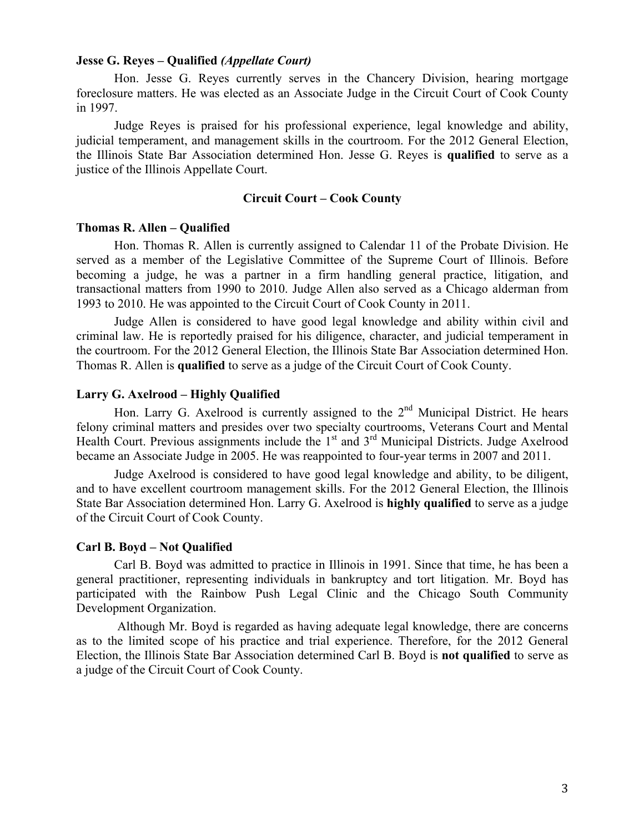## **Jesse G. Reyes – Qualified** *(Appellate Court)*

Hon. Jesse G. Reyes currently serves in the Chancery Division, hearing mortgage foreclosure matters. He was elected as an Associate Judge in the Circuit Court of Cook County in 1997.

Judge Reyes is praised for his professional experience, legal knowledge and ability, judicial temperament, and management skills in the courtroom. For the 2012 General Election, the Illinois State Bar Association determined Hon. Jesse G. Reyes is **qualified** to serve as a justice of the Illinois Appellate Court.

## **Circuit Court – Cook County**

## **Thomas R. Allen – Qualified**

Hon. Thomas R. Allen is currently assigned to Calendar 11 of the Probate Division. He served as a member of the Legislative Committee of the Supreme Court of Illinois. Before becoming a judge, he was a partner in a firm handling general practice, litigation, and transactional matters from 1990 to 2010. Judge Allen also served as a Chicago alderman from 1993 to 2010. He was appointed to the Circuit Court of Cook County in 2011.

Judge Allen is considered to have good legal knowledge and ability within civil and criminal law. He is reportedly praised for his diligence, character, and judicial temperament in the courtroom. For the 2012 General Election, the Illinois State Bar Association determined Hon. Thomas R. Allen is **qualified** to serve as a judge of the Circuit Court of Cook County.

# **Larry G. Axelrood – Highly Qualified**

Hon. Larry G. Axelrood is currently assigned to the  $2<sup>nd</sup>$  Municipal District. He hears felony criminal matters and presides over two specialty courtrooms, Veterans Court and Mental Health Court. Previous assignments include the  $1<sup>st</sup>$  and  $3<sup>rd</sup>$  Municipal Districts. Judge Axelrood became an Associate Judge in 2005. He was reappointed to four-year terms in 2007 and 2011.

Judge Axelrood is considered to have good legal knowledge and ability, to be diligent, and to have excellent courtroom management skills. For the 2012 General Election, the Illinois State Bar Association determined Hon. Larry G. Axelrood is **highly qualified** to serve as a judge of the Circuit Court of Cook County.

#### **Carl B. Boyd – Not Qualified**

Carl B. Boyd was admitted to practice in Illinois in 1991. Since that time, he has been a general practitioner, representing individuals in bankruptcy and tort litigation. Mr. Boyd has participated with the Rainbow Push Legal Clinic and the Chicago South Community Development Organization.

Although Mr. Boyd is regarded as having adequate legal knowledge, there are concerns as to the limited scope of his practice and trial experience. Therefore, for the 2012 General Election, the Illinois State Bar Association determined Carl B. Boyd is **not qualified** to serve as a judge of the Circuit Court of Cook County.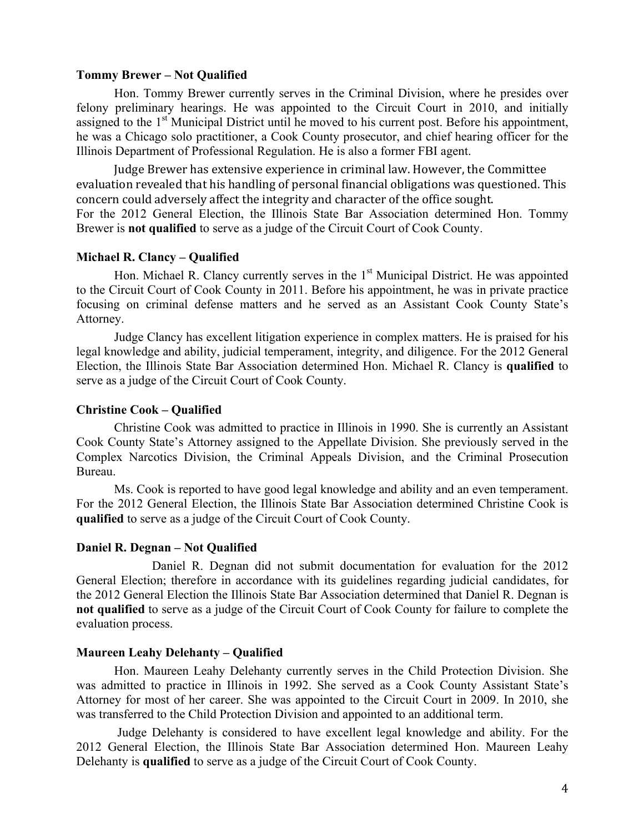### **Tommy Brewer – Not Qualified**

Hon. Tommy Brewer currently serves in the Criminal Division, where he presides over felony preliminary hearings. He was appointed to the Circuit Court in 2010, and initially assigned to the 1<sup>st</sup> Municipal District until he moved to his current post. Before his appointment, he was a Chicago solo practitioner, a Cook County prosecutor, and chief hearing officer for the Illinois Department of Professional Regulation. He is also a former FBI agent.

Judge Brewer has extensive experience in criminal law. However, the Committee evaluation revealed that his handling of personal financial obligations was questioned. This concern could adversely affect the integrity and character of the office sought. For the 2012 General Election, the Illinois State Bar Association determined Hon. Tommy Brewer is **not qualified** to serve as a judge of the Circuit Court of Cook County.

# **Michael R. Clancy – Qualified**

Hon. Michael R. Clancy currently serves in the  $1<sup>st</sup>$  Municipal District. He was appointed to the Circuit Court of Cook County in 2011. Before his appointment, he was in private practice focusing on criminal defense matters and he served as an Assistant Cook County State's Attorney.

Judge Clancy has excellent litigation experience in complex matters. He is praised for his legal knowledge and ability, judicial temperament, integrity, and diligence. For the 2012 General Election, the Illinois State Bar Association determined Hon. Michael R. Clancy is **qualified** to serve as a judge of the Circuit Court of Cook County.

# **Christine Cook – Qualified**

Christine Cook was admitted to practice in Illinois in 1990. She is currently an Assistant Cook County State's Attorney assigned to the Appellate Division. She previously served in the Complex Narcotics Division, the Criminal Appeals Division, and the Criminal Prosecution Bureau.

Ms. Cook is reported to have good legal knowledge and ability and an even temperament. For the 2012 General Election, the Illinois State Bar Association determined Christine Cook is **qualified** to serve as a judge of the Circuit Court of Cook County.

# **Daniel R. Degnan – Not Qualified**

Daniel R. Degnan did not submit documentation for evaluation for the 2012 General Election; therefore in accordance with its guidelines regarding judicial candidates, for the 2012 General Election the Illinois State Bar Association determined that Daniel R. Degnan is **not qualified** to serve as a judge of the Circuit Court of Cook County for failure to complete the evaluation process.

### **Maureen Leahy Delehanty – Qualified**

Hon. Maureen Leahy Delehanty currently serves in the Child Protection Division. She was admitted to practice in Illinois in 1992. She served as a Cook County Assistant State's Attorney for most of her career. She was appointed to the Circuit Court in 2009. In 2010, she was transferred to the Child Protection Division and appointed to an additional term.

Judge Delehanty is considered to have excellent legal knowledge and ability. For the 2012 General Election, the Illinois State Bar Association determined Hon. Maureen Leahy Delehanty is **qualified** to serve as a judge of the Circuit Court of Cook County.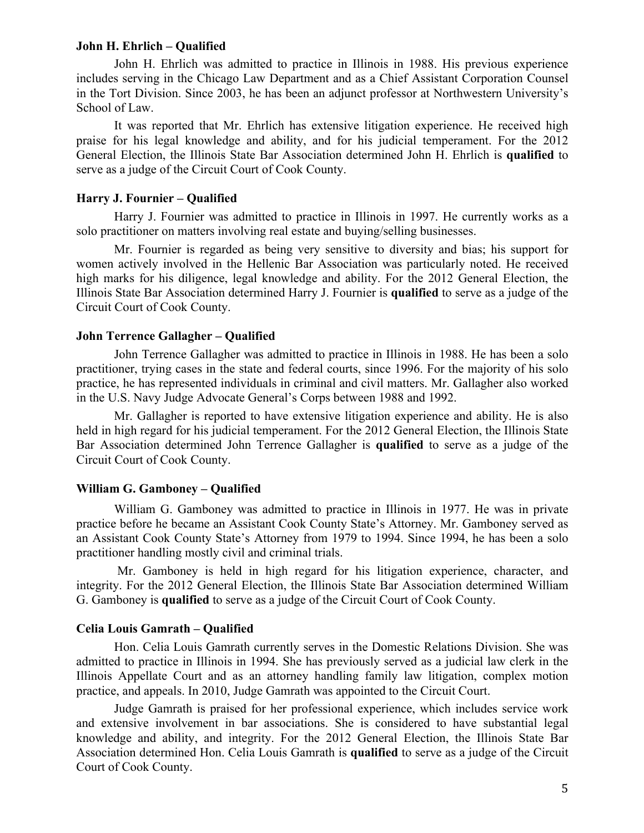### **John H. Ehrlich – Qualified**

John H. Ehrlich was admitted to practice in Illinois in 1988. His previous experience includes serving in the Chicago Law Department and as a Chief Assistant Corporation Counsel in the Tort Division. Since 2003, he has been an adjunct professor at Northwestern University's School of Law.

It was reported that Mr. Ehrlich has extensive litigation experience. He received high praise for his legal knowledge and ability, and for his judicial temperament. For the 2012 General Election, the Illinois State Bar Association determined John H. Ehrlich is **qualified** to serve as a judge of the Circuit Court of Cook County.

# **Harry J. Fournier – Qualified**

Harry J. Fournier was admitted to practice in Illinois in 1997. He currently works as a solo practitioner on matters involving real estate and buying/selling businesses.

Mr. Fournier is regarded as being very sensitive to diversity and bias; his support for women actively involved in the Hellenic Bar Association was particularly noted. He received high marks for his diligence, legal knowledge and ability. For the 2012 General Election, the Illinois State Bar Association determined Harry J. Fournier is **qualified** to serve as a judge of the Circuit Court of Cook County.

#### **John Terrence Gallagher – Qualified**

John Terrence Gallagher was admitted to practice in Illinois in 1988. He has been a solo practitioner, trying cases in the state and federal courts, since 1996. For the majority of his solo practice, he has represented individuals in criminal and civil matters. Mr. Gallagher also worked in the U.S. Navy Judge Advocate General's Corps between 1988 and 1992.

Mr. Gallagher is reported to have extensive litigation experience and ability. He is also held in high regard for his judicial temperament. For the 2012 General Election, the Illinois State Bar Association determined John Terrence Gallagher is **qualified** to serve as a judge of the Circuit Court of Cook County.

# **William G. Gamboney – Qualified**

William G. Gamboney was admitted to practice in Illinois in 1977. He was in private practice before he became an Assistant Cook County State's Attorney. Mr. Gamboney served as an Assistant Cook County State's Attorney from 1979 to 1994. Since 1994, he has been a solo practitioner handling mostly civil and criminal trials.

Mr. Gamboney is held in high regard for his litigation experience, character, and integrity. For the 2012 General Election, the Illinois State Bar Association determined William G. Gamboney is **qualified** to serve as a judge of the Circuit Court of Cook County.

### **Celia Louis Gamrath – Qualified**

Hon. Celia Louis Gamrath currently serves in the Domestic Relations Division. She was admitted to practice in Illinois in 1994. She has previously served as a judicial law clerk in the Illinois Appellate Court and as an attorney handling family law litigation, complex motion practice, and appeals. In 2010, Judge Gamrath was appointed to the Circuit Court.

Judge Gamrath is praised for her professional experience, which includes service work and extensive involvement in bar associations. She is considered to have substantial legal knowledge and ability, and integrity. For the 2012 General Election, the Illinois State Bar Association determined Hon. Celia Louis Gamrath is **qualified** to serve as a judge of the Circuit Court of Cook County.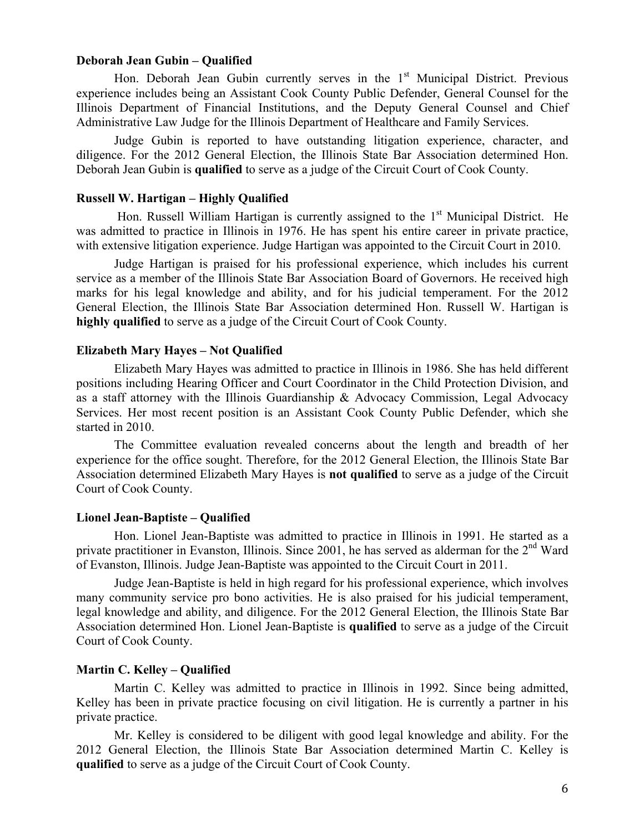# **Deborah Jean Gubin – Qualified**

Hon. Deborah Jean Gubin currently serves in the  $1<sup>st</sup>$  Municipal District. Previous experience includes being an Assistant Cook County Public Defender, General Counsel for the Illinois Department of Financial Institutions, and the Deputy General Counsel and Chief Administrative Law Judge for the Illinois Department of Healthcare and Family Services.

Judge Gubin is reported to have outstanding litigation experience, character, and diligence. For the 2012 General Election, the Illinois State Bar Association determined Hon. Deborah Jean Gubin is **qualified** to serve as a judge of the Circuit Court of Cook County.

# **Russell W. Hartigan – Highly Qualified**

Hon. Russell William Hartigan is currently assigned to the  $1<sup>st</sup>$  Municipal District. He was admitted to practice in Illinois in 1976. He has spent his entire career in private practice, with extensive litigation experience. Judge Hartigan was appointed to the Circuit Court in 2010.

Judge Hartigan is praised for his professional experience, which includes his current service as a member of the Illinois State Bar Association Board of Governors. He received high marks for his legal knowledge and ability, and for his judicial temperament. For the 2012 General Election, the Illinois State Bar Association determined Hon. Russell W. Hartigan is **highly qualified** to serve as a judge of the Circuit Court of Cook County.

#### **Elizabeth Mary Hayes – Not Qualified**

Elizabeth Mary Hayes was admitted to practice in Illinois in 1986. She has held different positions including Hearing Officer and Court Coordinator in the Child Protection Division, and as a staff attorney with the Illinois Guardianship & Advocacy Commission, Legal Advocacy Services. Her most recent position is an Assistant Cook County Public Defender, which she started in 2010.

The Committee evaluation revealed concerns about the length and breadth of her experience for the office sought. Therefore, for the 2012 General Election, the Illinois State Bar Association determined Elizabeth Mary Hayes is **not qualified** to serve as a judge of the Circuit Court of Cook County.

## **Lionel Jean-Baptiste – Qualified**

Hon. Lionel Jean-Baptiste was admitted to practice in Illinois in 1991. He started as a private practitioner in Evanston, Illinois. Since 2001, he has served as alderman for the 2<sup>nd</sup> Ward of Evanston, Illinois. Judge Jean-Baptiste was appointed to the Circuit Court in 2011.

Judge Jean-Baptiste is held in high regard for his professional experience, which involves many community service pro bono activities. He is also praised for his judicial temperament, legal knowledge and ability, and diligence. For the 2012 General Election, the Illinois State Bar Association determined Hon. Lionel Jean-Baptiste is **qualified** to serve as a judge of the Circuit Court of Cook County.

## **Martin C. Kelley – Qualified**

Martin C. Kelley was admitted to practice in Illinois in 1992. Since being admitted, Kelley has been in private practice focusing on civil litigation. He is currently a partner in his private practice.

Mr. Kelley is considered to be diligent with good legal knowledge and ability. For the 2012 General Election, the Illinois State Bar Association determined Martin C. Kelley is **qualified** to serve as a judge of the Circuit Court of Cook County.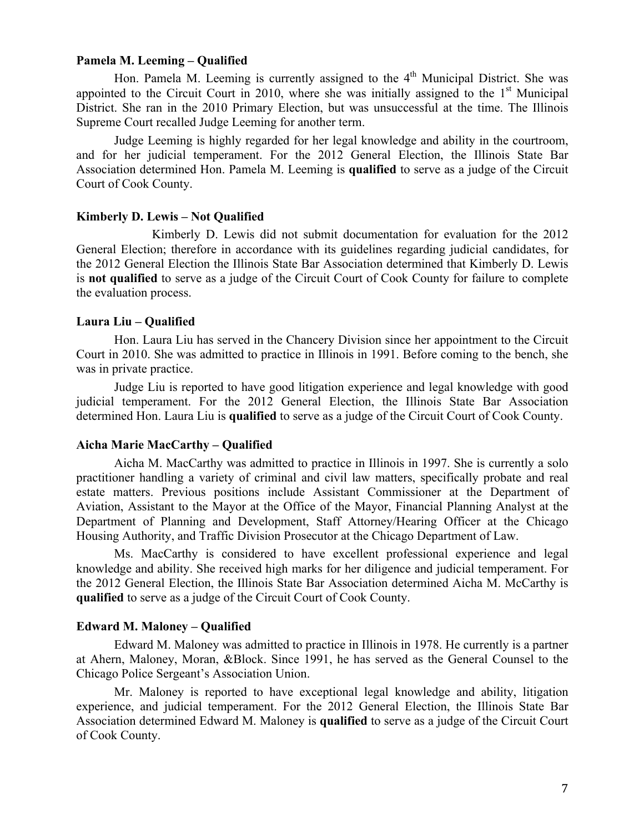# **Pamela M. Leeming – Qualified**

Hon. Pamela M. Leeming is currently assigned to the  $4<sup>th</sup>$  Municipal District. She was appointed to the Circuit Court in 2010, where she was initially assigned to the  $1<sup>st</sup>$  Municipal District. She ran in the 2010 Primary Election, but was unsuccessful at the time. The Illinois Supreme Court recalled Judge Leeming for another term.

Judge Leeming is highly regarded for her legal knowledge and ability in the courtroom, and for her judicial temperament. For the 2012 General Election, the Illinois State Bar Association determined Hon. Pamela M. Leeming is **qualified** to serve as a judge of the Circuit Court of Cook County.

#### **Kimberly D. Lewis – Not Qualified**

Kimberly D. Lewis did not submit documentation for evaluation for the 2012 General Election; therefore in accordance with its guidelines regarding judicial candidates, for the 2012 General Election the Illinois State Bar Association determined that Kimberly D. Lewis is **not qualified** to serve as a judge of the Circuit Court of Cook County for failure to complete the evaluation process.

# **Laura Liu – Qualified**

Hon. Laura Liu has served in the Chancery Division since her appointment to the Circuit Court in 2010. She was admitted to practice in Illinois in 1991. Before coming to the bench, she was in private practice.

Judge Liu is reported to have good litigation experience and legal knowledge with good judicial temperament. For the 2012 General Election, the Illinois State Bar Association determined Hon. Laura Liu is **qualified** to serve as a judge of the Circuit Court of Cook County.

#### **Aicha Marie MacCarthy – Qualified**

Aicha M. MacCarthy was admitted to practice in Illinois in 1997. She is currently a solo practitioner handling a variety of criminal and civil law matters, specifically probate and real estate matters. Previous positions include Assistant Commissioner at the Department of Aviation, Assistant to the Mayor at the Office of the Mayor, Financial Planning Analyst at the Department of Planning and Development, Staff Attorney/Hearing Officer at the Chicago Housing Authority, and Traffic Division Prosecutor at the Chicago Department of Law.

Ms. MacCarthy is considered to have excellent professional experience and legal knowledge and ability. She received high marks for her diligence and judicial temperament. For the 2012 General Election, the Illinois State Bar Association determined Aicha M. McCarthy is **qualified** to serve as a judge of the Circuit Court of Cook County.

## **Edward M. Maloney – Qualified**

Edward M. Maloney was admitted to practice in Illinois in 1978. He currently is a partner at Ahern, Maloney, Moran, &Block. Since 1991, he has served as the General Counsel to the Chicago Police Sergeant's Association Union.

Mr. Maloney is reported to have exceptional legal knowledge and ability, litigation experience, and judicial temperament. For the 2012 General Election, the Illinois State Bar Association determined Edward M. Maloney is **qualified** to serve as a judge of the Circuit Court of Cook County.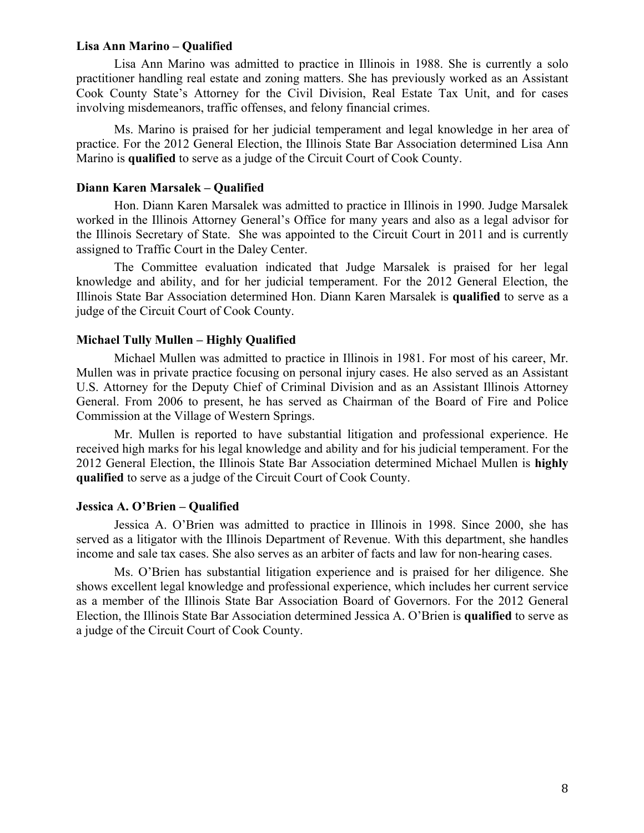## **Lisa Ann Marino – Qualified**

Lisa Ann Marino was admitted to practice in Illinois in 1988. She is currently a solo practitioner handling real estate and zoning matters. She has previously worked as an Assistant Cook County State's Attorney for the Civil Division, Real Estate Tax Unit, and for cases involving misdemeanors, traffic offenses, and felony financial crimes.

Ms. Marino is praised for her judicial temperament and legal knowledge in her area of practice. For the 2012 General Election, the Illinois State Bar Association determined Lisa Ann Marino is **qualified** to serve as a judge of the Circuit Court of Cook County.

# **Diann Karen Marsalek – Qualified**

Hon. Diann Karen Marsalek was admitted to practice in Illinois in 1990. Judge Marsalek worked in the Illinois Attorney General's Office for many years and also as a legal advisor for the Illinois Secretary of State. She was appointed to the Circuit Court in 2011 and is currently assigned to Traffic Court in the Daley Center.

The Committee evaluation indicated that Judge Marsalek is praised for her legal knowledge and ability, and for her judicial temperament. For the 2012 General Election, the Illinois State Bar Association determined Hon. Diann Karen Marsalek is **qualified** to serve as a judge of the Circuit Court of Cook County.

# **Michael Tully Mullen – Highly Qualified**

Michael Mullen was admitted to practice in Illinois in 1981. For most of his career, Mr. Mullen was in private practice focusing on personal injury cases. He also served as an Assistant U.S. Attorney for the Deputy Chief of Criminal Division and as an Assistant Illinois Attorney General. From 2006 to present, he has served as Chairman of the Board of Fire and Police Commission at the Village of Western Springs.

Mr. Mullen is reported to have substantial litigation and professional experience. He received high marks for his legal knowledge and ability and for his judicial temperament. For the 2012 General Election, the Illinois State Bar Association determined Michael Mullen is **highly qualified** to serve as a judge of the Circuit Court of Cook County.

# **Jessica A. O'Brien – Qualified**

Jessica A. O'Brien was admitted to practice in Illinois in 1998. Since 2000, she has served as a litigator with the Illinois Department of Revenue. With this department, she handles income and sale tax cases. She also serves as an arbiter of facts and law for non-hearing cases.

Ms. O'Brien has substantial litigation experience and is praised for her diligence. She shows excellent legal knowledge and professional experience, which includes her current service as a member of the Illinois State Bar Association Board of Governors. For the 2012 General Election, the Illinois State Bar Association determined Jessica A. O'Brien is **qualified** to serve as a judge of the Circuit Court of Cook County.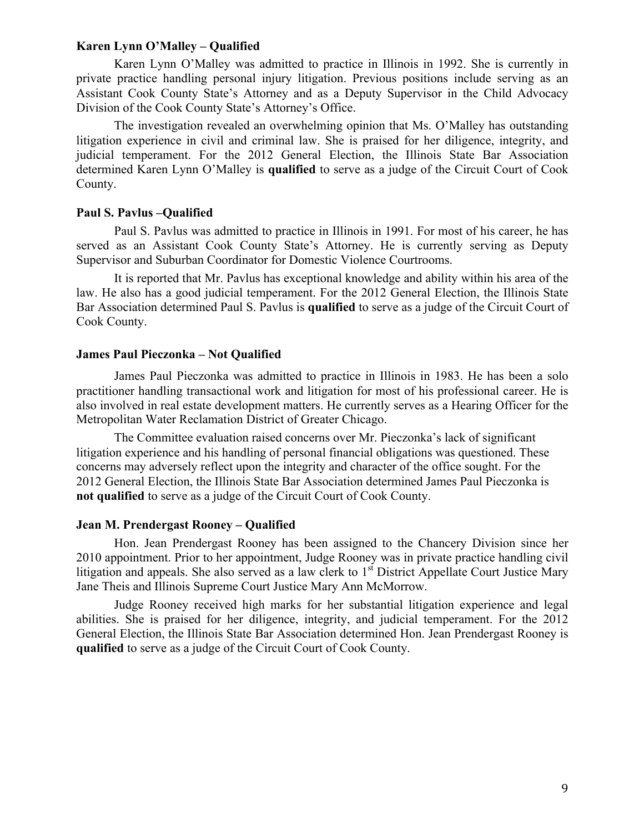## **Karen Lynn O'Malley – Qualified**

Karen Lynn O'Malley was admitted to practice in Illinois in 1992. She is currently in private practice handling personal injury litigation. Previous positions include serving as an Assistant Cook County State's Attorney and as a Deputy Supervisor in the Child Advocacy Division of the Cook County State's Attorney's Office.

The investigation revealed an overwhelming opinion that Ms. O'Malley has outstanding litigation experience in civil and criminal law. She is praised for her diligence, integrity, and judicial temperament. For the 2012 General Election, the Illinois State Bar Association determined Karen Lynn O'Malley is **qualified** to serve as a judge of the Circuit Court of Cook County.

### **Paul S. Pavlus –Qualified**

Paul S. Pavlus was admitted to practice in Illinois in 1991. For most of his career, he has served as an Assistant Cook County State's Attorney. He is currently serving as Deputy Supervisor and Suburban Coordinator for Domestic Violence Courtrooms.

It is reported that Mr. Pavlus has exceptional knowledge and ability within his area of the law. He also has a good judicial temperament. For the 2012 General Election, the Illinois State Bar Association determined Paul S. Pavlus is **qualified** to serve as a judge of the Circuit Court of Cook County.

# **James Paul Pieczonka – Not Qualified**

James Paul Pieczonka was admitted to practice in Illinois in 1983. He has been a solo practitioner handling transactional work and litigation for most of his professional career. He is also involved in real estate development matters. He currently serves as a Hearing Officer for the Metropolitan Water Reclamation District of Greater Chicago.

The Committee evaluation raised concerns over Mr. Pieczonka's lack of significant litigation experience and his handling of personal financial obligations was questioned. These concerns may adversely reflect upon the integrity and character of the office sought. For the 2012 General Election, the Illinois State Bar Association determined James Paul Pieczonka is **not qualified** to serve as a judge of the Circuit Court of Cook County.

### **Jean M. Prendergast Rooney – Qualified**

Hon. Jean Prendergast Rooney has been assigned to the Chancery Division since her 2010 appointment. Prior to her appointment, Judge Rooney was in private practice handling civil litigation and appeals. She also served as a law clerk to  $1<sup>st</sup>$  District Appellate Court Justice Mary Jane Theis and Illinois Supreme Court Justice Mary Ann McMorrow.

Judge Rooney received high marks for her substantial litigation experience and legal abilities. She is praised for her diligence, integrity, and judicial temperament. For the 2012 General Election, the Illinois State Bar Association determined Hon. Jean Prendergast Rooney is **qualified** to serve as a judge of the Circuit Court of Cook County.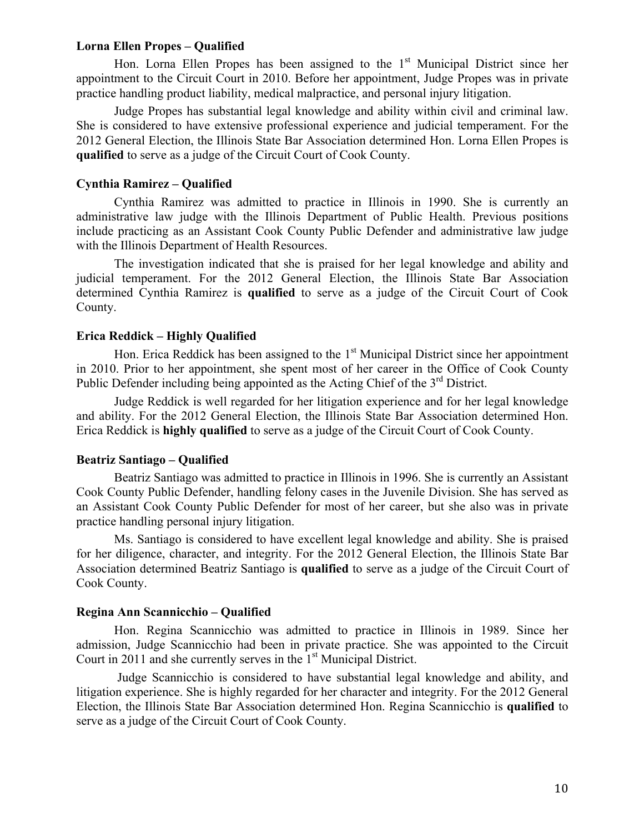# **Lorna Ellen Propes – Qualified**

Hon. Lorna Ellen Propes has been assigned to the  $1<sup>st</sup>$  Municipal District since her appointment to the Circuit Court in 2010. Before her appointment, Judge Propes was in private practice handling product liability, medical malpractice, and personal injury litigation.

Judge Propes has substantial legal knowledge and ability within civil and criminal law. She is considered to have extensive professional experience and judicial temperament. For the 2012 General Election, the Illinois State Bar Association determined Hon. Lorna Ellen Propes is **qualified** to serve as a judge of the Circuit Court of Cook County.

# **Cynthia Ramirez – Qualified**

Cynthia Ramirez was admitted to practice in Illinois in 1990. She is currently an administrative law judge with the Illinois Department of Public Health. Previous positions include practicing as an Assistant Cook County Public Defender and administrative law judge with the Illinois Department of Health Resources.

The investigation indicated that she is praised for her legal knowledge and ability and judicial temperament. For the 2012 General Election, the Illinois State Bar Association determined Cynthia Ramirez is **qualified** to serve as a judge of the Circuit Court of Cook County.

# **Erica Reddick – Highly Qualified**

Hon. Erica Reddick has been assigned to the  $1<sup>st</sup>$  Municipal District since her appointment in 2010. Prior to her appointment, she spent most of her career in the Office of Cook County Public Defender including being appointed as the Acting Chief of the 3<sup>rd</sup> District.

Judge Reddick is well regarded for her litigation experience and for her legal knowledge and ability. For the 2012 General Election, the Illinois State Bar Association determined Hon. Erica Reddick is **highly qualified** to serve as a judge of the Circuit Court of Cook County.

# **Beatriz Santiago – Qualified**

Beatriz Santiago was admitted to practice in Illinois in 1996. She is currently an Assistant Cook County Public Defender, handling felony cases in the Juvenile Division. She has served as an Assistant Cook County Public Defender for most of her career, but she also was in private practice handling personal injury litigation.

Ms. Santiago is considered to have excellent legal knowledge and ability. She is praised for her diligence, character, and integrity. For the 2012 General Election, the Illinois State Bar Association determined Beatriz Santiago is **qualified** to serve as a judge of the Circuit Court of Cook County.

### **Regina Ann Scannicchio – Qualified**

Hon. Regina Scannicchio was admitted to practice in Illinois in 1989. Since her admission, Judge Scannicchio had been in private practice. She was appointed to the Circuit Court in 2011 and she currently serves in the  $1<sup>st</sup>$  Municipal District.

Judge Scannicchio is considered to have substantial legal knowledge and ability, and litigation experience. She is highly regarded for her character and integrity. For the 2012 General Election, the Illinois State Bar Association determined Hon. Regina Scannicchio is **qualified** to serve as a judge of the Circuit Court of Cook County.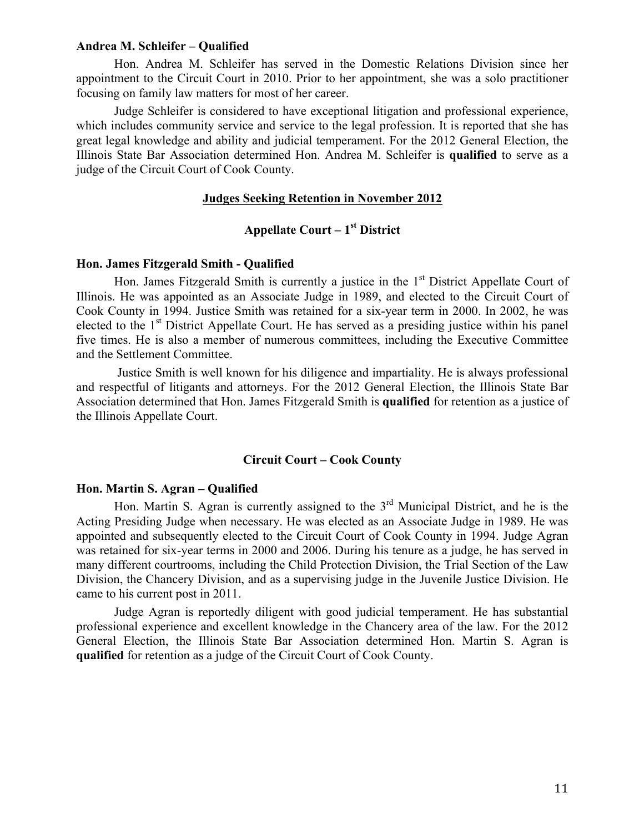## **Andrea M. Schleifer – Qualified**

Hon. Andrea M. Schleifer has served in the Domestic Relations Division since her appointment to the Circuit Court in 2010. Prior to her appointment, she was a solo practitioner focusing on family law matters for most of her career.

Judge Schleifer is considered to have exceptional litigation and professional experience, which includes community service and service to the legal profession. It is reported that she has great legal knowledge and ability and judicial temperament. For the 2012 General Election, the Illinois State Bar Association determined Hon. Andrea M. Schleifer is **qualified** to serve as a judge of the Circuit Court of Cook County.

# **Judges Seeking Retention in November 2012**

# **Appellate Court – 1st District**

# **Hon. James Fitzgerald Smith - Qualified**

Hon. James Fitzgerald Smith is currently a justice in the  $1<sup>st</sup>$  District Appellate Court of Illinois. He was appointed as an Associate Judge in 1989, and elected to the Circuit Court of Cook County in 1994. Justice Smith was retained for a six-year term in 2000. In 2002, he was elected to the  $1<sup>st</sup>$  District Appellate Court. He has served as a presiding justice within his panel five times. He is also a member of numerous committees, including the Executive Committee and the Settlement Committee.

Justice Smith is well known for his diligence and impartiality. He is always professional and respectful of litigants and attorneys. For the 2012 General Election, the Illinois State Bar Association determined that Hon. James Fitzgerald Smith is **qualified** for retention as a justice of the Illinois Appellate Court.

## **Circuit Court – Cook County**

# **Hon. Martin S. Agran – Qualified**

Hon. Martin S. Agran is currently assigned to the 3<sup>rd</sup> Municipal District, and he is the Acting Presiding Judge when necessary. He was elected as an Associate Judge in 1989. He was appointed and subsequently elected to the Circuit Court of Cook County in 1994. Judge Agran was retained for six-year terms in 2000 and 2006. During his tenure as a judge, he has served in many different courtrooms, including the Child Protection Division, the Trial Section of the Law Division, the Chancery Division, and as a supervising judge in the Juvenile Justice Division. He came to his current post in 2011.

Judge Agran is reportedly diligent with good judicial temperament. He has substantial professional experience and excellent knowledge in the Chancery area of the law. For the 2012 General Election, the Illinois State Bar Association determined Hon. Martin S. Agran is **qualified** for retention as a judge of the Circuit Court of Cook County.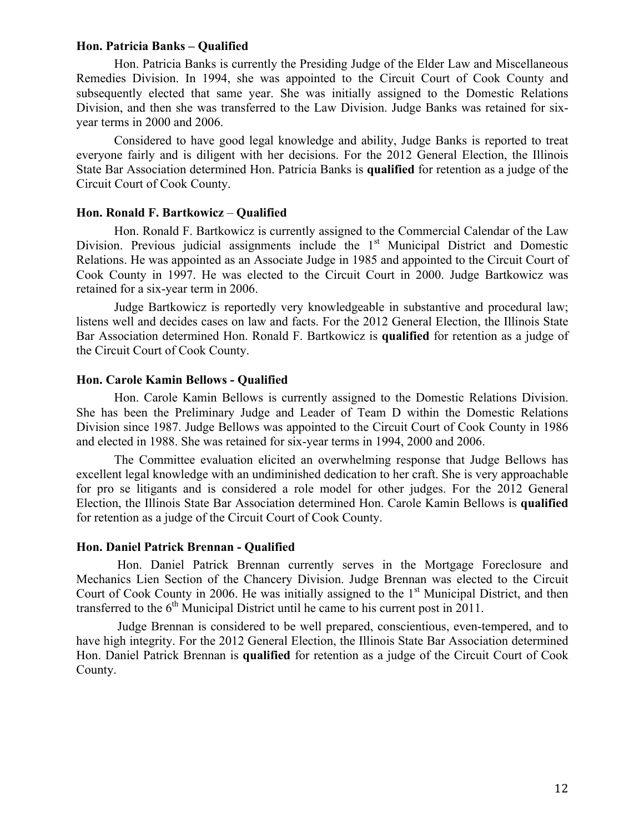#### **Hon. Patricia Banks – Qualified**

Hon. Patricia Banks is currently the Presiding Judge of the Elder Law and Miscellaneous Remedies Division. In 1994, she was appointed to the Circuit Court of Cook County and subsequently elected that same year. She was initially assigned to the Domestic Relations Division, and then she was transferred to the Law Division. Judge Banks was retained for sixyear terms in 2000 and 2006.

Considered to have good legal knowledge and ability, Judge Banks is reported to treat everyone fairly and is diligent with her decisions. For the 2012 General Election, the Illinois State Bar Association determined Hon. Patricia Banks is **qualified** for retention as a judge of the Circuit Court of Cook County.

### **Hon. Ronald F. Bartkowicz** – **Qualified**

Hon. Ronald F. Bartkowicz is currently assigned to the Commercial Calendar of the Law Division. Previous judicial assignments include the 1<sup>st</sup> Municipal District and Domestic Relations. He was appointed as an Associate Judge in 1985 and appointed to the Circuit Court of Cook County in 1997. He was elected to the Circuit Court in 2000. Judge Bartkowicz was retained for a six-year term in 2006.

Judge Bartkowicz is reportedly very knowledgeable in substantive and procedural law; listens well and decides cases on law and facts. For the 2012 General Election, the Illinois State Bar Association determined Hon. Ronald F. Bartkowicz is **qualified** for retention as a judge of the Circuit Court of Cook County.

#### **Hon. Carole Kamin Bellows - Qualified**

Hon. Carole Kamin Bellows is currently assigned to the Domestic Relations Division. She has been the Preliminary Judge and Leader of Team D within the Domestic Relations Division since 1987. Judge Bellows was appointed to the Circuit Court of Cook County in 1986 and elected in 1988. She was retained for six-year terms in 1994, 2000 and 2006.

The Committee evaluation elicited an overwhelming response that Judge Bellows has excellent legal knowledge with an undiminished dedication to her craft. She is very approachable for pro se litigants and is considered a role model for other judges. For the 2012 General Election, the Illinois State Bar Association determined Hon. Carole Kamin Bellows is **qualified** for retention as a judge of the Circuit Court of Cook County.

# **Hon. Daniel Patrick Brennan - Qualified**

Hon. Daniel Patrick Brennan currently serves in the Mortgage Foreclosure and Mechanics Lien Section of the Chancery Division. Judge Brennan was elected to the Circuit Court of Cook County in 2006. He was initially assigned to the  $1<sup>st</sup>$  Municipal District, and then transferred to the  $6<sup>th</sup>$  Municipal District until he came to his current post in 2011.

Judge Brennan is considered to be well prepared, conscientious, even-tempered, and to have high integrity. For the 2012 General Election, the Illinois State Bar Association determined Hon. Daniel Patrick Brennan is **qualified** for retention as a judge of the Circuit Court of Cook County.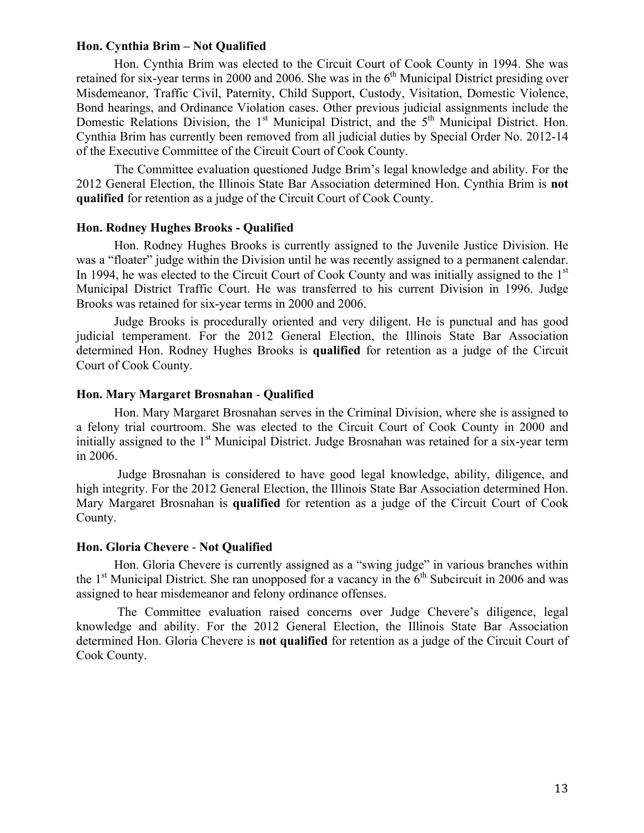## **Hon. Cynthia Brim – Not Qualified**

Hon. Cynthia Brim was elected to the Circuit Court of Cook County in 1994. She was retained for six-year terms in 2000 and 2006. She was in the  $6<sup>th</sup>$  Municipal District presiding over Misdemeanor, Traffic Civil, Paternity, Child Support, Custody, Visitation, Domestic Violence, Bond hearings, and Ordinance Violation cases. Other previous judicial assignments include the Domestic Relations Division, the 1<sup>st</sup> Municipal District, and the 5<sup>th</sup> Municipal District. Hon. Cynthia Brim has currently been removed from all judicial duties by Special Order No. 2012-14 of the Executive Committee of the Circuit Court of Cook County.

The Committee evaluation questioned Judge Brim's legal knowledge and ability. For the 2012 General Election, the Illinois State Bar Association determined Hon. Cynthia Brim is **not qualified** for retention as a judge of the Circuit Court of Cook County.

### **Hon. Rodney Hughes Brooks - Qualified**

Hon. Rodney Hughes Brooks is currently assigned to the Juvenile Justice Division. He was a "floater" judge within the Division until he was recently assigned to a permanent calendar. In 1994, he was elected to the Circuit Court of Cook County and was initially assigned to the 1<sup>st</sup> Municipal District Traffic Court. He was transferred to his current Division in 1996. Judge Brooks was retained for six-year terms in 2000 and 2006.

Judge Brooks is procedurally oriented and very diligent. He is punctual and has good judicial temperament. For the 2012 General Election, the Illinois State Bar Association determined Hon. Rodney Hughes Brooks is **qualified** for retention as a judge of the Circuit Court of Cook County.

# **Hon. Mary Margaret Brosnahan** - **Qualified**

Hon. Mary Margaret Brosnahan serves in the Criminal Division, where she is assigned to a felony trial courtroom. She was elected to the Circuit Court of Cook County in 2000 and initially assigned to the  $1<sup>st</sup>$  Municipal District. Judge Brosnahan was retained for a six-year term in 2006.

Judge Brosnahan is considered to have good legal knowledge, ability, diligence, and high integrity. For the 2012 General Election, the Illinois State Bar Association determined Hon. Mary Margaret Brosnahan is **qualified** for retention as a judge of the Circuit Court of Cook County.

# **Hon. Gloria Chevere** - **Not Qualified**

Hon. Gloria Chevere is currently assigned as a "swing judge" in various branches within the  $1<sup>st</sup>$  Municipal District. She ran unopposed for a vacancy in the  $6<sup>th</sup>$  Subcircuit in 2006 and was assigned to hear misdemeanor and felony ordinance offenses.

The Committee evaluation raised concerns over Judge Chevere's diligence, legal knowledge and ability. For the 2012 General Election, the Illinois State Bar Association determined Hon. Gloria Chevere is **not qualified** for retention as a judge of the Circuit Court of Cook County.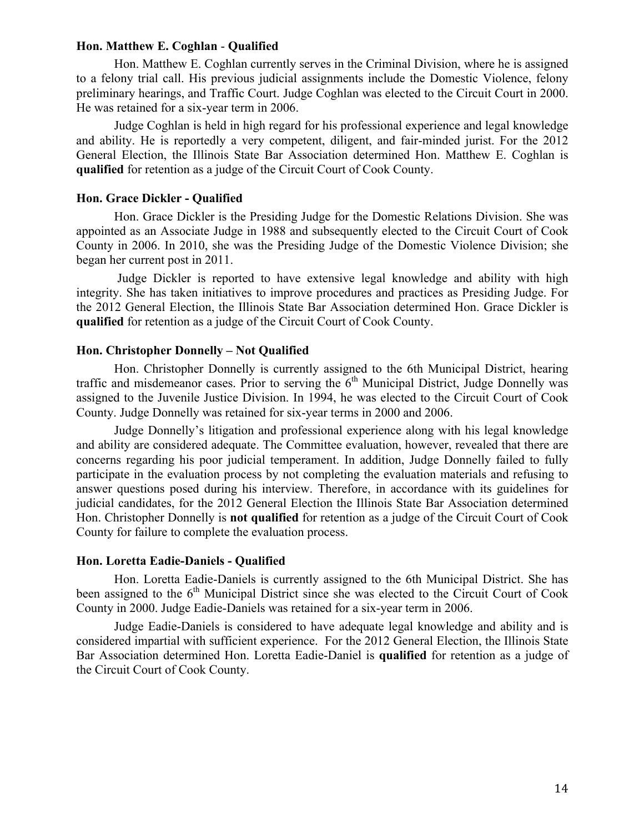## **Hon. Matthew E. Coghlan** - **Qualified**

Hon. Matthew E. Coghlan currently serves in the Criminal Division, where he is assigned to a felony trial call. His previous judicial assignments include the Domestic Violence, felony preliminary hearings, and Traffic Court. Judge Coghlan was elected to the Circuit Court in 2000. He was retained for a six-year term in 2006.

Judge Coghlan is held in high regard for his professional experience and legal knowledge and ability. He is reportedly a very competent, diligent, and fair-minded jurist. For the 2012 General Election, the Illinois State Bar Association determined Hon. Matthew E. Coghlan is **qualified** for retention as a judge of the Circuit Court of Cook County.

# **Hon. Grace Dickler - Qualified**

Hon. Grace Dickler is the Presiding Judge for the Domestic Relations Division. She was appointed as an Associate Judge in 1988 and subsequently elected to the Circuit Court of Cook County in 2006. In 2010, she was the Presiding Judge of the Domestic Violence Division; she began her current post in 2011.

Judge Dickler is reported to have extensive legal knowledge and ability with high integrity. She has taken initiatives to improve procedures and practices as Presiding Judge. For the 2012 General Election, the Illinois State Bar Association determined Hon. Grace Dickler is **qualified** for retention as a judge of the Circuit Court of Cook County.

# **Hon. Christopher Donnelly – Not Qualified**

Hon. Christopher Donnelly is currently assigned to the 6th Municipal District, hearing traffic and misdemeanor cases. Prior to serving the  $6<sup>th</sup>$  Municipal District, Judge Donnelly was assigned to the Juvenile Justice Division. In 1994, he was elected to the Circuit Court of Cook County. Judge Donnelly was retained for six-year terms in 2000 and 2006.

Judge Donnelly's litigation and professional experience along with his legal knowledge and ability are considered adequate. The Committee evaluation, however, revealed that there are concerns regarding his poor judicial temperament. In addition, Judge Donnelly failed to fully participate in the evaluation process by not completing the evaluation materials and refusing to answer questions posed during his interview. Therefore, in accordance with its guidelines for judicial candidates, for the 2012 General Election the Illinois State Bar Association determined Hon. Christopher Donnelly is **not qualified** for retention as a judge of the Circuit Court of Cook County for failure to complete the evaluation process.

### **Hon. Loretta Eadie-Daniels - Qualified**

Hon. Loretta Eadie-Daniels is currently assigned to the 6th Municipal District. She has been assigned to the  $6<sup>th</sup>$  Municipal District since she was elected to the Circuit Court of Cook County in 2000. Judge Eadie-Daniels was retained for a six-year term in 2006.

Judge Eadie-Daniels is considered to have adequate legal knowledge and ability and is considered impartial with sufficient experience. For the 2012 General Election, the Illinois State Bar Association determined Hon. Loretta Eadie-Daniel is **qualified** for retention as a judge of the Circuit Court of Cook County.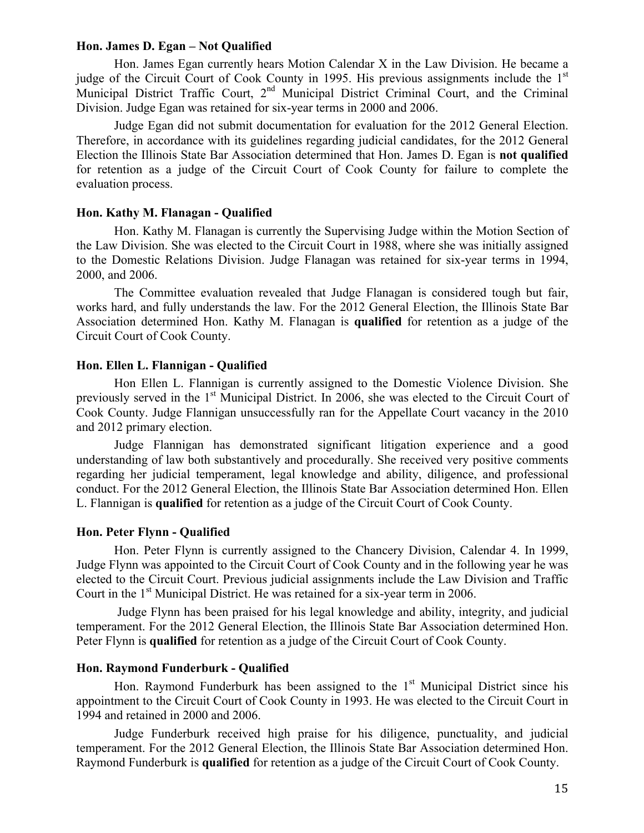### **Hon. James D. Egan – Not Qualified**

Hon. James Egan currently hears Motion Calendar X in the Law Division. He became a judge of the Circuit Court of Cook County in 1995. His previous assignments include the 1<sup>st</sup> Municipal District Traffic Court,  $2<sup>nd</sup>$  Municipal District Criminal Court, and the Criminal Division. Judge Egan was retained for six-year terms in 2000 and 2006.

Judge Egan did not submit documentation for evaluation for the 2012 General Election. Therefore, in accordance with its guidelines regarding judicial candidates, for the 2012 General Election the Illinois State Bar Association determined that Hon. James D. Egan is **not qualified** for retention as a judge of the Circuit Court of Cook County for failure to complete the evaluation process.

### **Hon. Kathy M. Flanagan - Qualified**

Hon. Kathy M. Flanagan is currently the Supervising Judge within the Motion Section of the Law Division. She was elected to the Circuit Court in 1988, where she was initially assigned to the Domestic Relations Division. Judge Flanagan was retained for six-year terms in 1994, 2000, and 2006.

The Committee evaluation revealed that Judge Flanagan is considered tough but fair, works hard, and fully understands the law. For the 2012 General Election, the Illinois State Bar Association determined Hon. Kathy M. Flanagan is **qualified** for retention as a judge of the Circuit Court of Cook County.

# **Hon. Ellen L. Flannigan - Qualified**

Hon Ellen L. Flannigan is currently assigned to the Domestic Violence Division. She previously served in the 1<sup>st</sup> Municipal District. In 2006, she was elected to the Circuit Court of Cook County. Judge Flannigan unsuccessfully ran for the Appellate Court vacancy in the 2010 and 2012 primary election.

Judge Flannigan has demonstrated significant litigation experience and a good understanding of law both substantively and procedurally. She received very positive comments regarding her judicial temperament, legal knowledge and ability, diligence, and professional conduct. For the 2012 General Election, the Illinois State Bar Association determined Hon. Ellen L. Flannigan is **qualified** for retention as a judge of the Circuit Court of Cook County.

# **Hon. Peter Flynn - Qualified**

Hon. Peter Flynn is currently assigned to the Chancery Division, Calendar 4. In 1999, Judge Flynn was appointed to the Circuit Court of Cook County and in the following year he was elected to the Circuit Court. Previous judicial assignments include the Law Division and Traffic Court in the 1<sup>st</sup> Municipal District. He was retained for a six-year term in 2006.

Judge Flynn has been praised for his legal knowledge and ability, integrity, and judicial temperament. For the 2012 General Election, the Illinois State Bar Association determined Hon. Peter Flynn is **qualified** for retention as a judge of the Circuit Court of Cook County.

#### **Hon. Raymond Funderburk - Qualified**

Hon. Raymond Funderburk has been assigned to the  $1<sup>st</sup>$  Municipal District since his appointment to the Circuit Court of Cook County in 1993. He was elected to the Circuit Court in 1994 and retained in 2000 and 2006.

Judge Funderburk received high praise for his diligence, punctuality, and judicial temperament. For the 2012 General Election, the Illinois State Bar Association determined Hon. Raymond Funderburk is **qualified** for retention as a judge of the Circuit Court of Cook County.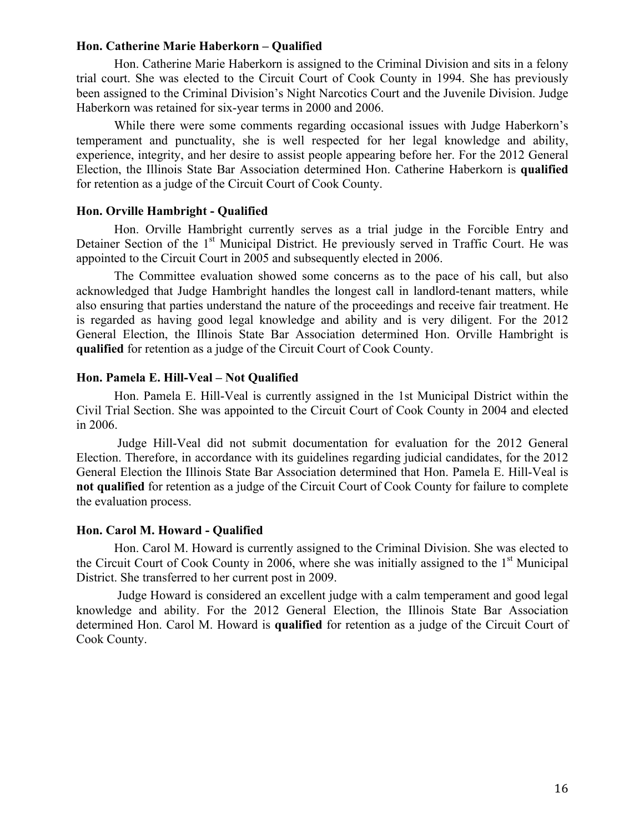## **Hon. Catherine Marie Haberkorn – Qualified**

Hon. Catherine Marie Haberkorn is assigned to the Criminal Division and sits in a felony trial court. She was elected to the Circuit Court of Cook County in 1994. She has previously been assigned to the Criminal Division's Night Narcotics Court and the Juvenile Division. Judge Haberkorn was retained for six-year terms in 2000 and 2006.

While there were some comments regarding occasional issues with Judge Haberkorn's temperament and punctuality, she is well respected for her legal knowledge and ability, experience, integrity, and her desire to assist people appearing before her. For the 2012 General Election, the Illinois State Bar Association determined Hon. Catherine Haberkorn is **qualified** for retention as a judge of the Circuit Court of Cook County.

# **Hon. Orville Hambright - Qualified**

Hon. Orville Hambright currently serves as a trial judge in the Forcible Entry and Detainer Section of the 1<sup>st</sup> Municipal District. He previously served in Traffic Court. He was appointed to the Circuit Court in 2005 and subsequently elected in 2006.

The Committee evaluation showed some concerns as to the pace of his call, but also acknowledged that Judge Hambright handles the longest call in landlord-tenant matters, while also ensuring that parties understand the nature of the proceedings and receive fair treatment. He is regarded as having good legal knowledge and ability and is very diligent. For the 2012 General Election, the Illinois State Bar Association determined Hon. Orville Hambright is **qualified** for retention as a judge of the Circuit Court of Cook County.

# **Hon. Pamela E. Hill-Veal – Not Qualified**

Hon. Pamela E. Hill-Veal is currently assigned in the 1st Municipal District within the Civil Trial Section. She was appointed to the Circuit Court of Cook County in 2004 and elected in 2006.

Judge Hill-Veal did not submit documentation for evaluation for the 2012 General Election. Therefore, in accordance with its guidelines regarding judicial candidates, for the 2012 General Election the Illinois State Bar Association determined that Hon. Pamela E. Hill-Veal is **not qualified** for retention as a judge of the Circuit Court of Cook County for failure to complete the evaluation process.

# **Hon. Carol M. Howard - Qualified**

Hon. Carol M. Howard is currently assigned to the Criminal Division. She was elected to the Circuit Court of Cook County in 2006, where she was initially assigned to the  $1<sup>st</sup>$  Municipal District. She transferred to her current post in 2009.

Judge Howard is considered an excellent judge with a calm temperament and good legal knowledge and ability. For the 2012 General Election, the Illinois State Bar Association determined Hon. Carol M. Howard is **qualified** for retention as a judge of the Circuit Court of Cook County.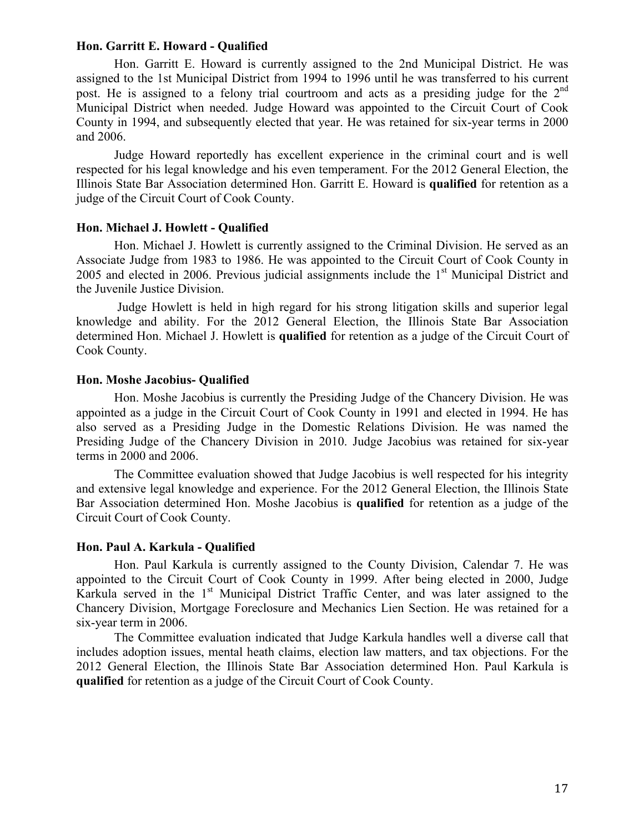## **Hon. Garritt E. Howard - Qualified**

Hon. Garritt E. Howard is currently assigned to the 2nd Municipal District. He was assigned to the 1st Municipal District from 1994 to 1996 until he was transferred to his current post. He is assigned to a felony trial courtroom and acts as a presiding judge for the 2<sup>nd</sup> Municipal District when needed. Judge Howard was appointed to the Circuit Court of Cook County in 1994, and subsequently elected that year. He was retained for six-year terms in 2000 and 2006.

Judge Howard reportedly has excellent experience in the criminal court and is well respected for his legal knowledge and his even temperament. For the 2012 General Election, the Illinois State Bar Association determined Hon. Garritt E. Howard is **qualified** for retention as a judge of the Circuit Court of Cook County.

# **Hon. Michael J. Howlett - Qualified**

Hon. Michael J. Howlett is currently assigned to the Criminal Division. He served as an Associate Judge from 1983 to 1986. He was appointed to the Circuit Court of Cook County in 2005 and elected in 2006. Previous judicial assignments include the  $1<sup>st</sup>$  Municipal District and the Juvenile Justice Division.

Judge Howlett is held in high regard for his strong litigation skills and superior legal knowledge and ability. For the 2012 General Election, the Illinois State Bar Association determined Hon. Michael J. Howlett is **qualified** for retention as a judge of the Circuit Court of Cook County.

# **Hon. Moshe Jacobius- Qualified**

Hon. Moshe Jacobius is currently the Presiding Judge of the Chancery Division. He was appointed as a judge in the Circuit Court of Cook County in 1991 and elected in 1994. He has also served as a Presiding Judge in the Domestic Relations Division. He was named the Presiding Judge of the Chancery Division in 2010. Judge Jacobius was retained for six-year terms in 2000 and 2006.

The Committee evaluation showed that Judge Jacobius is well respected for his integrity and extensive legal knowledge and experience. For the 2012 General Election, the Illinois State Bar Association determined Hon. Moshe Jacobius is **qualified** for retention as a judge of the Circuit Court of Cook County.

# **Hon. Paul A. Karkula - Qualified**

Hon. Paul Karkula is currently assigned to the County Division, Calendar 7. He was appointed to the Circuit Court of Cook County in 1999. After being elected in 2000, Judge Karkula served in the  $1<sup>st</sup>$  Municipal District Traffic Center, and was later assigned to the Chancery Division, Mortgage Foreclosure and Mechanics Lien Section. He was retained for a six-year term in 2006.

The Committee evaluation indicated that Judge Karkula handles well a diverse call that includes adoption issues, mental heath claims, election law matters, and tax objections. For the 2012 General Election, the Illinois State Bar Association determined Hon. Paul Karkula is **qualified** for retention as a judge of the Circuit Court of Cook County.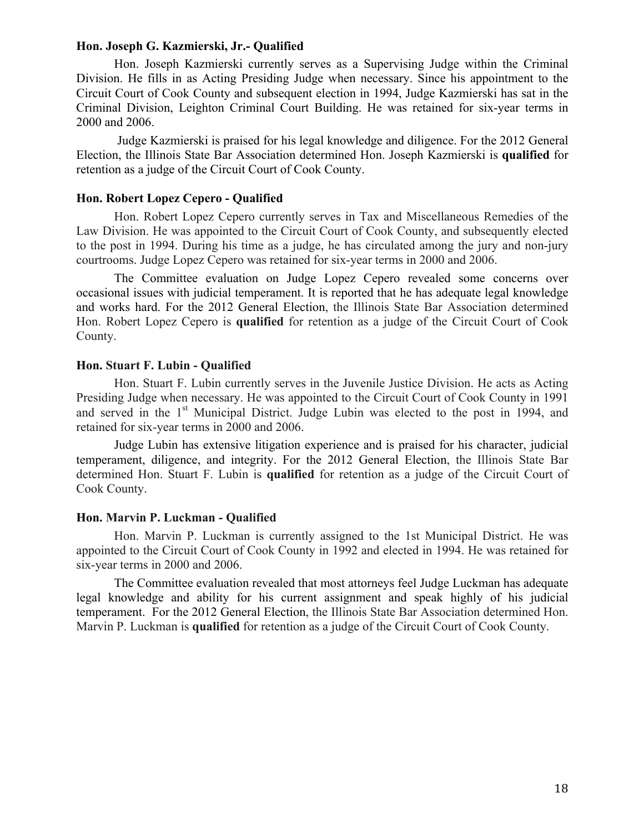#### **Hon. Joseph G. Kazmierski, Jr.- Qualified**

Hon. Joseph Kazmierski currently serves as a Supervising Judge within the Criminal Division. He fills in as Acting Presiding Judge when necessary. Since his appointment to the Circuit Court of Cook County and subsequent election in 1994, Judge Kazmierski has sat in the Criminal Division, Leighton Criminal Court Building. He was retained for six-year terms in 2000 and 2006.

Judge Kazmierski is praised for his legal knowledge and diligence. For the 2012 General Election, the Illinois State Bar Association determined Hon. Joseph Kazmierski is **qualified** for retention as a judge of the Circuit Court of Cook County.

# **Hon. Robert Lopez Cepero - Qualified**

Hon. Robert Lopez Cepero currently serves in Tax and Miscellaneous Remedies of the Law Division. He was appointed to the Circuit Court of Cook County, and subsequently elected to the post in 1994. During his time as a judge, he has circulated among the jury and non-jury courtrooms. Judge Lopez Cepero was retained for six-year terms in 2000 and 2006.

The Committee evaluation on Judge Lopez Cepero revealed some concerns over occasional issues with judicial temperament. It is reported that he has adequate legal knowledge and works hard. For the 2012 General Election, the Illinois State Bar Association determined Hon. Robert Lopez Cepero is **qualified** for retention as a judge of the Circuit Court of Cook County.

# **Hon. Stuart F. Lubin - Qualified**

Hon. Stuart F. Lubin currently serves in the Juvenile Justice Division. He acts as Acting Presiding Judge when necessary. He was appointed to the Circuit Court of Cook County in 1991 and served in the 1<sup>st</sup> Municipal District. Judge Lubin was elected to the post in 1994, and retained for six-year terms in 2000 and 2006.

Judge Lubin has extensive litigation experience and is praised for his character, judicial temperament, diligence, and integrity. For the 2012 General Election, the Illinois State Bar determined Hon. Stuart F. Lubin is **qualified** for retention as a judge of the Circuit Court of Cook County.

#### **Hon. Marvin P. Luckman - Qualified**

Hon. Marvin P. Luckman is currently assigned to the 1st Municipal District. He was appointed to the Circuit Court of Cook County in 1992 and elected in 1994. He was retained for six-year terms in 2000 and 2006.

The Committee evaluation revealed that most attorneys feel Judge Luckman has adequate legal knowledge and ability for his current assignment and speak highly of his judicial temperament. For the 2012 General Election, the Illinois State Bar Association determined Hon. Marvin P. Luckman is **qualified** for retention as a judge of the Circuit Court of Cook County.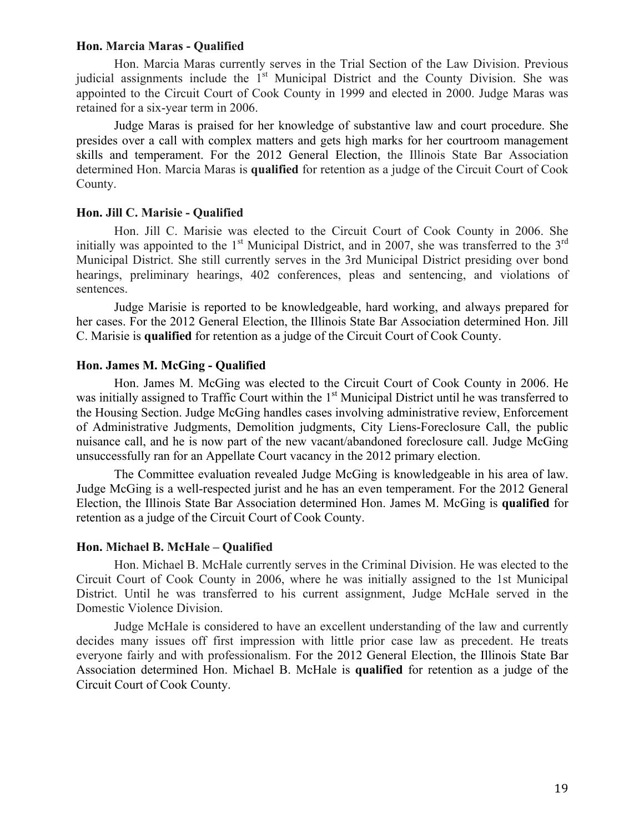## **Hon. Marcia Maras - Qualified**

Hon. Marcia Maras currently serves in the Trial Section of the Law Division. Previous judicial assignments include the  $1<sup>st</sup>$  Municipal District and the County Division. She was appointed to the Circuit Court of Cook County in 1999 and elected in 2000. Judge Maras was retained for a six-year term in 2006.

Judge Maras is praised for her knowledge of substantive law and court procedure. She presides over a call with complex matters and gets high marks for her courtroom management skills and temperament. For the 2012 General Election, the Illinois State Bar Association determined Hon. Marcia Maras is **qualified** for retention as a judge of the Circuit Court of Cook County.

# **Hon. Jill C. Marisie - Qualified**

Hon. Jill C. Marisie was elected to the Circuit Court of Cook County in 2006. She initially was appointed to the  $1<sup>st</sup>$  Municipal District, and in 2007, she was transferred to the  $3<sup>rd</sup>$ Municipal District. She still currently serves in the 3rd Municipal District presiding over bond hearings, preliminary hearings, 402 conferences, pleas and sentencing, and violations of sentences.

Judge Marisie is reported to be knowledgeable, hard working, and always prepared for her cases. For the 2012 General Election, the Illinois State Bar Association determined Hon. Jill C. Marisie is **qualified** for retention as a judge of the Circuit Court of Cook County.

# **Hon. James M. McGing - Qualified**

Hon. James M. McGing was elected to the Circuit Court of Cook County in 2006. He was initially assigned to Traffic Court within the 1<sup>st</sup> Municipal District until he was transferred to the Housing Section. Judge McGing handles cases involving administrative review, Enforcement of Administrative Judgments, Demolition judgments, City Liens-Foreclosure Call, the public nuisance call, and he is now part of the new vacant/abandoned foreclosure call. Judge McGing unsuccessfully ran for an Appellate Court vacancy in the 2012 primary election.

The Committee evaluation revealed Judge McGing is knowledgeable in his area of law. Judge McGing is a well-respected jurist and he has an even temperament. For the 2012 General Election, the Illinois State Bar Association determined Hon. James M. McGing is **qualified** for retention as a judge of the Circuit Court of Cook County.

# **Hon. Michael B. McHale – Qualified**

Hon. Michael B. McHale currently serves in the Criminal Division. He was elected to the Circuit Court of Cook County in 2006, where he was initially assigned to the 1st Municipal District. Until he was transferred to his current assignment, Judge McHale served in the Domestic Violence Division.

Judge McHale is considered to have an excellent understanding of the law and currently decides many issues off first impression with little prior case law as precedent. He treats everyone fairly and with professionalism. For the 2012 General Election, the Illinois State Bar Association determined Hon. Michael B. McHale is **qualified** for retention as a judge of the Circuit Court of Cook County.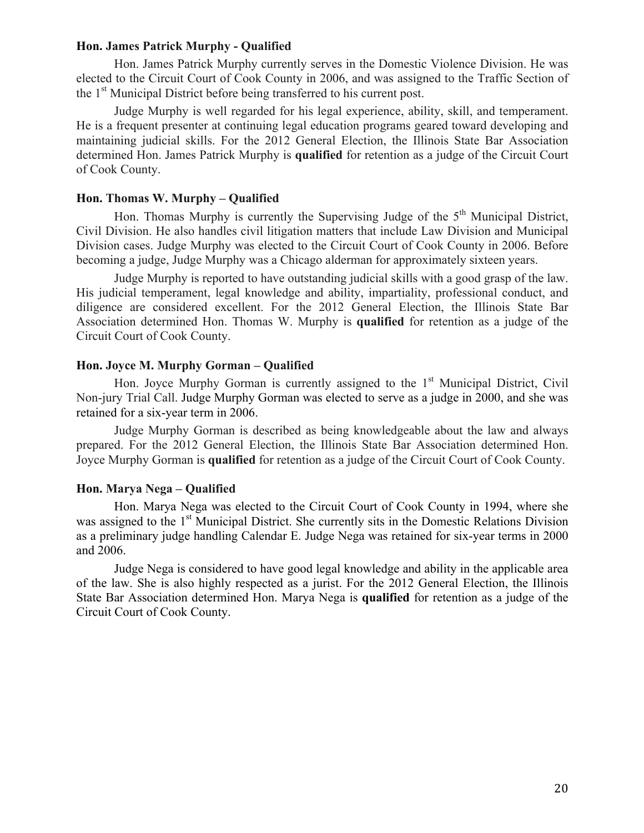# **Hon. James Patrick Murphy - Qualified**

Hon. James Patrick Murphy currently serves in the Domestic Violence Division. He was elected to the Circuit Court of Cook County in 2006, and was assigned to the Traffic Section of the 1<sup>st</sup> Municipal District before being transferred to his current post.

Judge Murphy is well regarded for his legal experience, ability, skill, and temperament. He is a frequent presenter at continuing legal education programs geared toward developing and maintaining judicial skills. For the 2012 General Election, the Illinois State Bar Association determined Hon. James Patrick Murphy is **qualified** for retention as a judge of the Circuit Court of Cook County.

# **Hon. Thomas W. Murphy – Qualified**

Hon. Thomas Murphy is currently the Supervising Judge of the  $5<sup>th</sup>$  Municipal District, Civil Division. He also handles civil litigation matters that include Law Division and Municipal Division cases. Judge Murphy was elected to the Circuit Court of Cook County in 2006. Before becoming a judge, Judge Murphy was a Chicago alderman for approximately sixteen years.

Judge Murphy is reported to have outstanding judicial skills with a good grasp of the law. His judicial temperament, legal knowledge and ability, impartiality, professional conduct, and diligence are considered excellent. For the 2012 General Election, the Illinois State Bar Association determined Hon. Thomas W. Murphy is **qualified** for retention as a judge of the Circuit Court of Cook County.

# **Hon. Joyce M. Murphy Gorman – Qualified**

Hon. Joyce Murphy Gorman is currently assigned to the  $1<sup>st</sup>$  Municipal District, Civil Non-jury Trial Call. Judge Murphy Gorman was elected to serve as a judge in 2000, and she was retained for a six-year term in 2006.

Judge Murphy Gorman is described as being knowledgeable about the law and always prepared. For the 2012 General Election, the Illinois State Bar Association determined Hon. Joyce Murphy Gorman is **qualified** for retention as a judge of the Circuit Court of Cook County.

# **Hon. Marya Nega – Qualified**

Hon. Marya Nega was elected to the Circuit Court of Cook County in 1994, where she was assigned to the 1<sup>st</sup> Municipal District. She currently sits in the Domestic Relations Division as a preliminary judge handling Calendar E. Judge Nega was retained for six-year terms in 2000 and 2006.

Judge Nega is considered to have good legal knowledge and ability in the applicable area of the law. She is also highly respected as a jurist. For the 2012 General Election, the Illinois State Bar Association determined Hon. Marya Nega is **qualified** for retention as a judge of the Circuit Court of Cook County.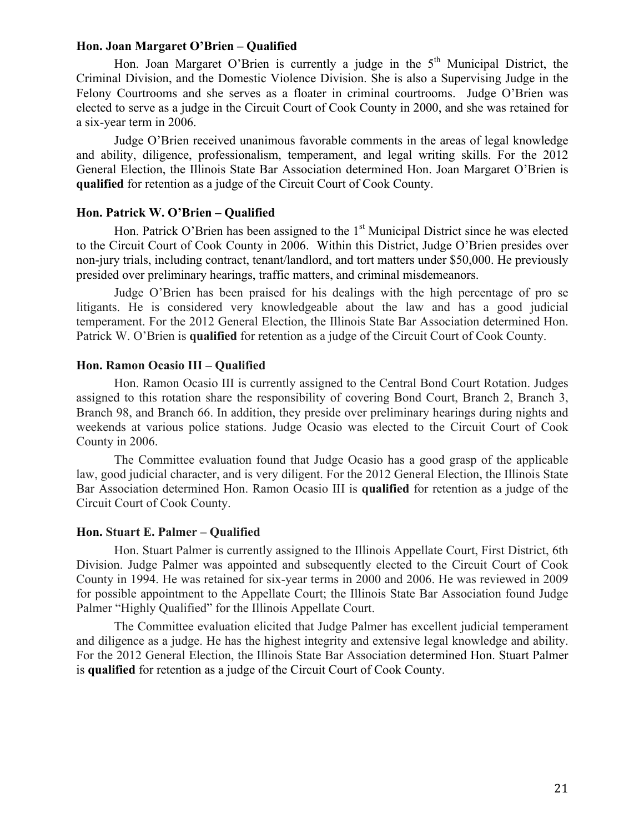## **Hon. Joan Margaret O'Brien – Qualified**

Hon. Joan Margaret O'Brien is currently a judge in the  $5<sup>th</sup>$  Municipal District, the Criminal Division, and the Domestic Violence Division. She is also a Supervising Judge in the Felony Courtrooms and she serves as a floater in criminal courtrooms. Judge O'Brien was elected to serve as a judge in the Circuit Court of Cook County in 2000, and she was retained for a six-year term in 2006.

Judge O'Brien received unanimous favorable comments in the areas of legal knowledge and ability, diligence, professionalism, temperament, and legal writing skills. For the 2012 General Election, the Illinois State Bar Association determined Hon. Joan Margaret O'Brien is **qualified** for retention as a judge of the Circuit Court of Cook County.

## **Hon. Patrick W. O'Brien – Qualified**

Hon. Patrick O'Brien has been assigned to the 1<sup>st</sup> Municipal District since he was elected to the Circuit Court of Cook County in 2006. Within this District, Judge O'Brien presides over non-jury trials, including contract, tenant/landlord, and tort matters under \$50,000. He previously presided over preliminary hearings, traffic matters, and criminal misdemeanors.

Judge O'Brien has been praised for his dealings with the high percentage of pro se litigants. He is considered very knowledgeable about the law and has a good judicial temperament. For the 2012 General Election, the Illinois State Bar Association determined Hon. Patrick W. O'Brien is **qualified** for retention as a judge of the Circuit Court of Cook County.

# **Hon. Ramon Ocasio III – Qualified**

Hon. Ramon Ocasio III is currently assigned to the Central Bond Court Rotation. Judges assigned to this rotation share the responsibility of covering Bond Court, Branch 2, Branch 3, Branch 98, and Branch 66. In addition, they preside over preliminary hearings during nights and weekends at various police stations. Judge Ocasio was elected to the Circuit Court of Cook County in 2006.

The Committee evaluation found that Judge Ocasio has a good grasp of the applicable law, good judicial character, and is very diligent. For the 2012 General Election, the Illinois State Bar Association determined Hon. Ramon Ocasio III is **qualified** for retention as a judge of the Circuit Court of Cook County.

# **Hon. Stuart E. Palmer – Qualified**

Hon. Stuart Palmer is currently assigned to the Illinois Appellate Court, First District, 6th Division. Judge Palmer was appointed and subsequently elected to the Circuit Court of Cook County in 1994. He was retained for six-year terms in 2000 and 2006. He was reviewed in 2009 for possible appointment to the Appellate Court; the Illinois State Bar Association found Judge Palmer "Highly Qualified" for the Illinois Appellate Court.

The Committee evaluation elicited that Judge Palmer has excellent judicial temperament and diligence as a judge. He has the highest integrity and extensive legal knowledge and ability. For the 2012 General Election, the Illinois State Bar Association determined Hon. Stuart Palmer is **qualified** for retention as a judge of the Circuit Court of Cook County.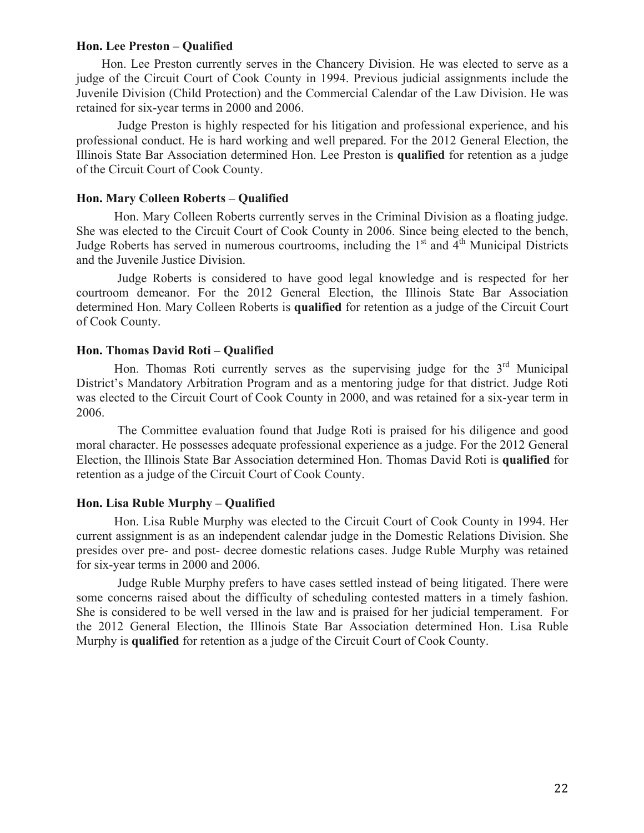## **Hon. Lee Preston – Qualified**

 Hon. Lee Preston currently serves in the Chancery Division. He was elected to serve as a judge of the Circuit Court of Cook County in 1994. Previous judicial assignments include the Juvenile Division (Child Protection) and the Commercial Calendar of the Law Division. He was retained for six-year terms in 2000 and 2006.

Judge Preston is highly respected for his litigation and professional experience, and his professional conduct. He is hard working and well prepared. For the 2012 General Election, the Illinois State Bar Association determined Hon. Lee Preston is **qualified** for retention as a judge of the Circuit Court of Cook County.

# **Hon. Mary Colleen Roberts – Qualified**

Hon. Mary Colleen Roberts currently serves in the Criminal Division as a floating judge. She was elected to the Circuit Court of Cook County in 2006. Since being elected to the bench, Judge Roberts has served in numerous courtrooms, including the  $1<sup>st</sup>$  and  $4<sup>th</sup>$  Municipal Districts and the Juvenile Justice Division.

Judge Roberts is considered to have good legal knowledge and is respected for her courtroom demeanor. For the 2012 General Election, the Illinois State Bar Association determined Hon. Mary Colleen Roberts is **qualified** for retention as a judge of the Circuit Court of Cook County.

# **Hon. Thomas David Roti – Qualified**

Hon. Thomas Roti currently serves as the supervising judge for the  $3<sup>rd</sup>$  Municipal District's Mandatory Arbitration Program and as a mentoring judge for that district. Judge Roti was elected to the Circuit Court of Cook County in 2000, and was retained for a six-year term in 2006.

The Committee evaluation found that Judge Roti is praised for his diligence and good moral character. He possesses adequate professional experience as a judge. For the 2012 General Election, the Illinois State Bar Association determined Hon. Thomas David Roti is **qualified** for retention as a judge of the Circuit Court of Cook County.

# **Hon. Lisa Ruble Murphy – Qualified**

Hon. Lisa Ruble Murphy was elected to the Circuit Court of Cook County in 1994. Her current assignment is as an independent calendar judge in the Domestic Relations Division. She presides over pre- and post- decree domestic relations cases. Judge Ruble Murphy was retained for six-year terms in 2000 and 2006.

Judge Ruble Murphy prefers to have cases settled instead of being litigated. There were some concerns raised about the difficulty of scheduling contested matters in a timely fashion. She is considered to be well versed in the law and is praised for her judicial temperament. For the 2012 General Election, the Illinois State Bar Association determined Hon. Lisa Ruble Murphy is **qualified** for retention as a judge of the Circuit Court of Cook County.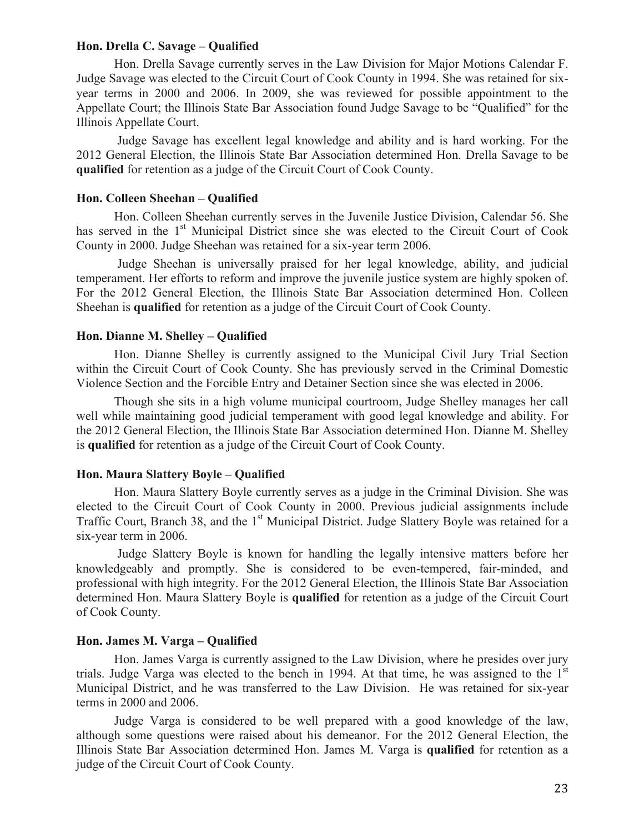## **Hon. Drella C. Savage – Qualified**

Hon. Drella Savage currently serves in the Law Division for Major Motions Calendar F. Judge Savage was elected to the Circuit Court of Cook County in 1994. She was retained for sixyear terms in 2000 and 2006. In 2009, she was reviewed for possible appointment to the Appellate Court; the Illinois State Bar Association found Judge Savage to be "Qualified" for the Illinois Appellate Court.

Judge Savage has excellent legal knowledge and ability and is hard working. For the 2012 General Election, the Illinois State Bar Association determined Hon. Drella Savage to be **qualified** for retention as a judge of the Circuit Court of Cook County.

# **Hon. Colleen Sheehan – Qualified**

Hon. Colleen Sheehan currently serves in the Juvenile Justice Division, Calendar 56. She has served in the 1<sup>st</sup> Municipal District since she was elected to the Circuit Court of Cook County in 2000. Judge Sheehan was retained for a six-year term 2006.

Judge Sheehan is universally praised for her legal knowledge, ability, and judicial temperament. Her efforts to reform and improve the juvenile justice system are highly spoken of. For the 2012 General Election, the Illinois State Bar Association determined Hon. Colleen Sheehan is **qualified** for retention as a judge of the Circuit Court of Cook County.

## **Hon. Dianne M. Shelley – Qualified**

Hon. Dianne Shelley is currently assigned to the Municipal Civil Jury Trial Section within the Circuit Court of Cook County. She has previously served in the Criminal Domestic Violence Section and the Forcible Entry and Detainer Section since she was elected in 2006.

Though she sits in a high volume municipal courtroom, Judge Shelley manages her call well while maintaining good judicial temperament with good legal knowledge and ability. For the 2012 General Election, the Illinois State Bar Association determined Hon. Dianne M. Shelley is **qualified** for retention as a judge of the Circuit Court of Cook County.

# **Hon. Maura Slattery Boyle – Qualified**

Hon. Maura Slattery Boyle currently serves as a judge in the Criminal Division. She was elected to the Circuit Court of Cook County in 2000. Previous judicial assignments include Traffic Court, Branch 38, and the 1<sup>st</sup> Municipal District. Judge Slattery Boyle was retained for a six-year term in 2006.

Judge Slattery Boyle is known for handling the legally intensive matters before her knowledgeably and promptly. She is considered to be even-tempered, fair-minded, and professional with high integrity. For the 2012 General Election, the Illinois State Bar Association determined Hon. Maura Slattery Boyle is **qualified** for retention as a judge of the Circuit Court of Cook County.

## **Hon. James M. Varga – Qualified**

Hon. James Varga is currently assigned to the Law Division, where he presides over jury trials. Judge Varga was elected to the bench in 1994. At that time, he was assigned to the  $1<sup>st</sup>$ Municipal District, and he was transferred to the Law Division. He was retained for six-year terms in 2000 and 2006.

Judge Varga is considered to be well prepared with a good knowledge of the law, although some questions were raised about his demeanor. For the 2012 General Election, the Illinois State Bar Association determined Hon. James M. Varga is **qualified** for retention as a judge of the Circuit Court of Cook County.